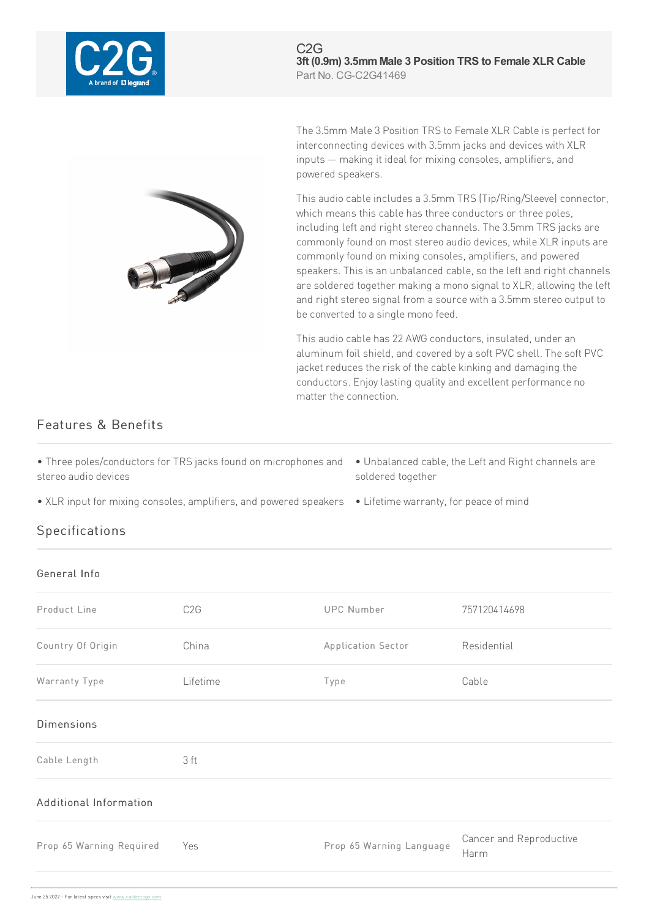

C2G **3ft (0.9m) 3.5mmMale 3 Position TRS to Female XLR Cable** Part No. CG-C2G41469



The 3.5mm Male 3 Position TRS to Female XLR Cable is perfect for interconnecting devices with 3.5mm jacks and devices with XLR inputs — making it ideal for mixing consoles, amplifiers, and powered speakers.

This audio cable includes a 3.5mm TRS (Tip/Ring/Sleeve) connector, which means this cable has three conductors or three poles, including left and right stereo channels. The 3.5mm TRS jacks are commonly found on most stereo audio devices, while XLR inputs are commonly found on mixing consoles, amplifiers, and powered speakers. This is an unbalanced cable, so the left and right channels are soldered together making a mono signal to XLR, allowing the left and right stereo signal from a source with a 3.5mm stereo output to be converted to a single mono feed.

This audio cable has 22 AWG conductors, insulated, under an aluminum foil shield, and covered by a soft PVC shell. The soft PVC jacket reduces the risk of the cable kinking and damaging the conductors. Enjoy lasting quality and excellent performance no matter the connection.

## Features & Benefits

| • Three poles/conductors for TRS jacks found on microphones and • Unbalanced cable, the Left and Right channels are |                   |
|---------------------------------------------------------------------------------------------------------------------|-------------------|
| stereo audio devices                                                                                                | soldered together |

• XLR input for mixing consoles, amplifiers, and powered speakers • Lifetime warranty, for peace of mind

## **Specifications**

## General Info

| Product Line             | C <sub>2</sub> G | <b>UPC Number</b>        | 757120414698                    |
|--------------------------|------------------|--------------------------|---------------------------------|
| Country Of Origin        | China            | Application Sector       | Residential                     |
| Warranty Type            | Lifetime         | Type                     | Cable                           |
| <b>Dimensions</b>        |                  |                          |                                 |
| Cable Length             | 3 ft             |                          |                                 |
| Additional Information   |                  |                          |                                 |
| Prop 65 Warning Required | Yes              | Prop 65 Warning Language | Cancer and Reproductive<br>Harm |
|                          |                  |                          |                                 |